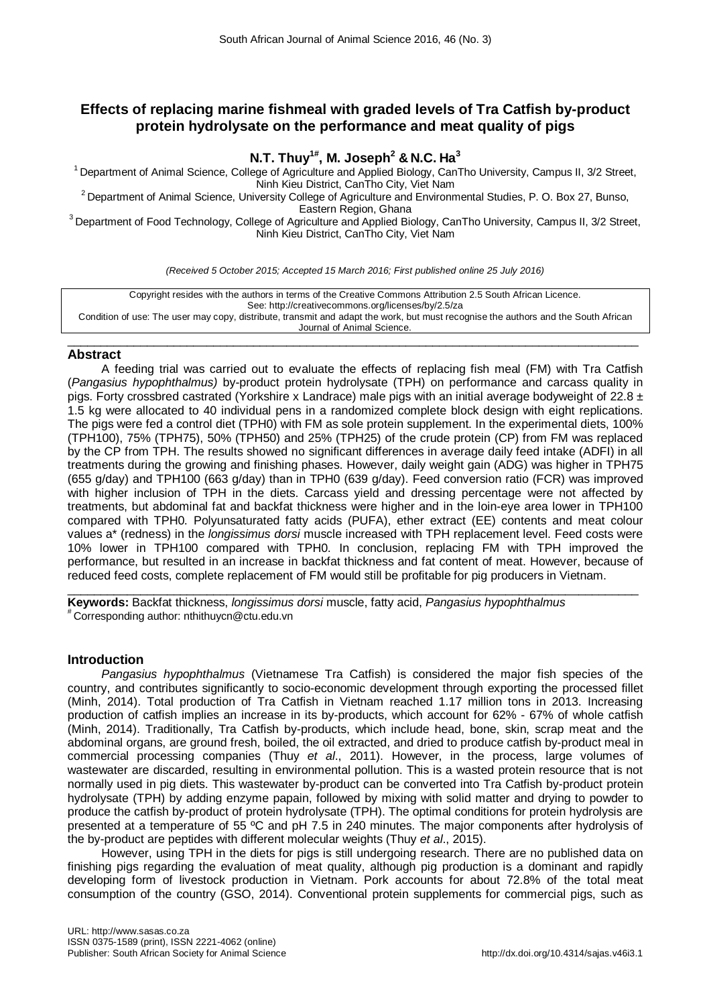# **Effects of replacing marine fishmeal with graded levels of Tra Catfish by-product protein hydrolysate on the performance and meat quality of pigs**

**N.T. Thuy1# , M. Joseph2 & N.C. Ha<sup>3</sup>**

<sup>1</sup> Department of Animal Science, College of Agriculture and Applied Biology, CanTho University, Campus II, 3/2 Street,<br>Ninh Kieu District. CanTho City. Viet Nam

<sup>2</sup> Department of Animal Science, University College of Agriculture and Environmental Studies, P. O. Box 27, Bunso,<br>Eastern Region, Ghana

 $3$  Department of Food Technology, College of Agriculture and Applied Biology, CanTho University, Campus II, 3/2 Street, Ninh Kieu District, CanTho City, Viet Nam

*(Received 5 October 2015; Accepted 15 March 2016; First published online 25 July 2016)*

Copyright resides with the authors in terms of the Creative Commons Attribution 2.5 South African Licence. See: http://creativecommons.org/licenses/by/2.5/za Condition of use: The user may copy, distribute, transmit and adapt the work, but must recognise the authors and the South African Journal of Animal Science.

## $\_$  ,  $\_$  ,  $\_$  ,  $\_$  ,  $\_$  ,  $\_$  ,  $\_$  ,  $\_$  ,  $\_$  ,  $\_$  ,  $\_$  ,  $\_$  ,  $\_$  ,  $\_$  ,  $\_$  ,  $\_$  ,  $\_$  ,  $\_$  ,  $\_$  ,  $\_$  ,  $\_$  ,  $\_$  ,  $\_$  ,  $\_$  ,  $\_$  ,  $\_$  ,  $\_$  ,  $\_$  ,  $\_$  ,  $\_$  ,  $\_$  ,  $\_$  ,  $\_$  ,  $\_$  ,  $\_$  ,  $\_$  ,  $\_$  , **Abstract**

A feeding trial was carried out to evaluate the effects of replacing fish meal (FM) with Tra Catfish (*Pangasius hypophthalmus)* by-product protein hydrolysate (TPH) on performance and carcass quality in pigs. Forty crossbred castrated (Yorkshire x Landrace) male pigs with an initial average bodyweight of 22.8  $\pm$ 1.5 kg were allocated to 40 individual pens in a randomized complete block design with eight replications. The pigs were fed a control diet (TPH0) with FM as sole protein supplement. In the experimental diets, 100% (TPH100), 75% (TPH75), 50% (TPH50) and 25% (TPH25) of the crude protein (CP) from FM was replaced by the CP from TPH. The results showed no significant differences in average daily feed intake (ADFI) in all treatments during the growing and finishing phases. However, daily weight gain (ADG) was higher in TPH75 (655 g/day) and TPH100 (663 g/day) than in TPH0 (639 g/day). Feed conversion ratio (FCR) was improved with higher inclusion of TPH in the diets. Carcass yield and dressing percentage were not affected by treatments, but abdominal fat and backfat thickness were higher and in the loin-eye area lower in TPH100 compared with TPH0. Polyunsaturated fatty acids (PUFA), ether extract (EE) contents and meat colour values a\* (redness) in the *longissimus dorsi* muscle increased with TPH replacement level. Feed costs were 10% lower in TPH100 compared with TPH0. In conclusion, replacing FM with TPH improved the performance, but resulted in an increase in backfat thickness and fat content of meat. However, because of reduced feed costs, complete replacement of FM would still be profitable for pig producers in Vietnam.

\_\_\_\_\_\_\_\_\_\_\_\_\_\_\_\_\_\_\_\_\_\_\_\_\_\_\_\_\_\_\_\_\_\_\_\_\_\_\_\_\_\_\_\_\_\_\_\_\_\_\_\_\_\_\_\_\_\_\_\_\_\_\_\_\_\_\_\_\_\_\_\_\_\_\_\_\_\_\_\_\_\_\_\_\_\_ **Keywords:** Backfat thickness, *longissimus dorsi* muscle, fatty acid, *Pangasius hypophthalmus* # Corresponding author: nthithuycn@ctu.edu.vn

# **Introduction**

*Pangasius hypophthalmus* (Vietnamese Tra Catfish) is considered the major fish species of the country, and contributes significantly to socio-economic development through exporting the processed fillet (Minh, 2014). Total production of Tra Catfish in Vietnam reached 1.17 million tons in 2013. Increasing production of catfish implies an increase in its by-products, which account for 62% - 67% of whole catfish (Minh, 2014). Traditionally, Tra Catfish by-products, which include head, bone, skin, scrap meat and the abdominal organs, are ground fresh, boiled, the oil extracted, and dried to produce catfish by-product meal in commercial processing companies (Thuy *et al*., 2011). However, in the process, large volumes of wastewater are discarded, resulting in environmental pollution. This is a wasted protein resource that is not normally used in pig diets. This wastewater by-product can be converted into Tra Catfish by-product protein hydrolysate (TPH) by adding enzyme papain, followed by mixing with solid matter and drying to powder to produce the catfish by-product of protein hydrolysate (TPH). The optimal conditions for protein hydrolysis are presented at a temperature of 55 ºC and pH 7.5 in 240 minutes. The major components after hydrolysis of the by-product are peptides with different molecular weights (Thuy *et al*., 2015).

However, using TPH in the diets for pigs is still undergoing research. There are no published data on finishing pigs regarding the evaluation of meat quality, although pig production is a dominant and rapidly developing form of livestock production in Vietnam. Pork accounts for about 72.8% of the total meat consumption of the country (GSO, 2014). Conventional protein supplements for commercial pigs, such as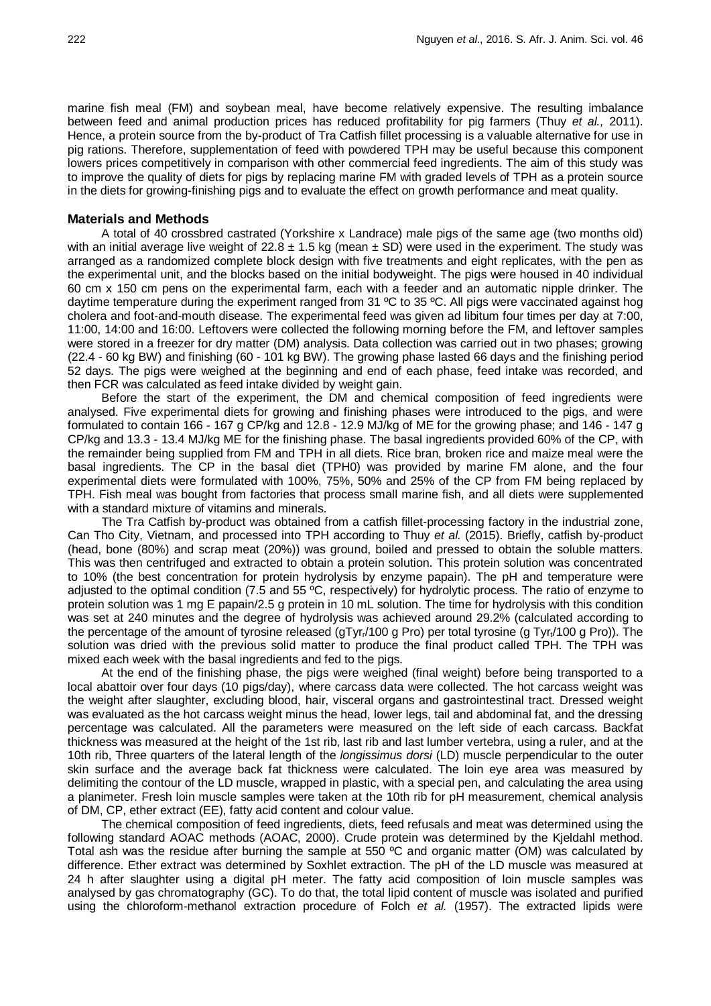marine fish meal (FM) and soybean meal, have become relatively expensive. The resulting imbalance between feed and animal production prices has reduced profitability for pig farmers (Thuy *et al.,* 2011). Hence, a protein source from the by-product of Tra Catfish fillet processing is a valuable alternative for use in pig rations. Therefore, supplementation of feed with powdered TPH may be useful because this component lowers prices competitively in comparison with other commercial feed ingredients. The aim of this study was to improve the quality of diets for pigs by replacing marine FM with graded levels of TPH as a protein source in the diets for growing-finishing pigs and to evaluate the effect on growth performance and meat quality.

### **Materials and Methods**

A total of 40 crossbred castrated (Yorkshire x Landrace) male pigs of the same age (two months old) with an initial average live weight of  $22.8 \pm 1.5$  kg (mean  $\pm$  SD) were used in the experiment. The study was arranged as a randomized complete block design with five treatments and eight replicates, with the pen as the experimental unit, and the blocks based on the initial bodyweight. The pigs were housed in 40 individual 60 cm x 150 cm pens on the experimental farm, each with a feeder and an automatic nipple drinker. The daytime temperature during the experiment ranged from 31 °C to 35 °C. All pigs were vaccinated against hog cholera and foot-and-mouth disease. The experimental feed was given ad libitum four times per day at 7:00, 11:00, 14:00 and 16:00. Leftovers were collected the following morning before the FM, and leftover samples were stored in a freezer for dry matter (DM) analysis. Data collection was carried out in two phases; growing (22.4 - 60 kg BW) and finishing (60 - 101 kg BW). The growing phase lasted 66 days and the finishing period 52 days. The pigs were weighed at the beginning and end of each phase, feed intake was recorded, and then FCR was calculated as feed intake divided by weight gain.

Before the start of the experiment, the DM and chemical composition of feed ingredients were analysed. Five experimental diets for growing and finishing phases were introduced to the pigs, and were formulated to contain 166 - 167 g CP/kg and 12.8 - 12.9 MJ/kg of ME for the growing phase; and 146 - 147 g CP/kg and 13.3 - 13.4 MJ/kg ME for the finishing phase. The basal ingredients provided 60% of the CP, with the remainder being supplied from FM and TPH in all diets. Rice bran, broken rice and maize meal were the basal ingredients. The CP in the basal diet (TPH0) was provided by marine FM alone, and the four experimental diets were formulated with 100%, 75%, 50% and 25% of the CP from FM being replaced by TPH. Fish meal was bought from factories that process small marine fish, and all diets were supplemented with a standard mixture of vitamins and minerals.

The Tra Catfish by-product was obtained from a catfish fillet-processing factory in the industrial zone, Can Tho City, Vietnam, and processed into TPH according to Thuy *et al.* (2015). Briefly, catfish by-product (head, bone (80%) and scrap meat (20%)) was ground, boiled and pressed to obtain the soluble matters. This was then centrifuged and extracted to obtain a protein solution. This protein solution was concentrated to 10% (the best concentration for protein hydrolysis by enzyme papain). The pH and temperature were adjusted to the optimal condition (7.5 and 55 °C, respectively) for hydrolytic process. The ratio of enzyme to protein solution was 1 mg E papain/2.5 g protein in 10 mL solution. The time for hydrolysis with this condition was set at 240 minutes and the degree of hydrolysis was achieved around 29.2% (calculated according to the percentage of the amount of tyrosine released (gTyr<sub>r</sub>/100 g Pro) per total tyrosine (g Tyr<sub>r</sub>/100 g Pro)). The solution was dried with the previous solid matter to produce the final product called TPH. The TPH was mixed each week with the basal ingredients and fed to the pigs.

At the end of the finishing phase, the pigs were weighed (final weight) before being transported to a local abattoir over four days (10 pigs/day), where carcass data were collected. The hot carcass weight was the weight after slaughter, excluding blood, hair, visceral organs and gastrointestinal tract. Dressed weight was evaluated as the hot carcass weight minus the head, lower legs, tail and abdominal fat, and the dressing percentage was calculated. All the parameters were measured on the left side of each carcass. Backfat thickness was measured at the height of the 1st rib, last rib and last lumber vertebra, using a ruler, and at the 10th rib, Three quarters of the lateral length of the *longissimus dorsi* (LD) muscle perpendicular to the outer skin surface and the average back fat thickness were calculated. The loin eye area was measured by delimiting the contour of the LD muscle, wrapped in plastic, with a special pen, and calculating the area using a planimeter. Fresh loin muscle samples were taken at the 10th rib for pH measurement, chemical analysis of DM, CP, ether extract (EE), fatty acid content and colour value.

The chemical composition of feed ingredients, diets, feed refusals and meat was determined using the following standard AOAC methods (AOAC, 2000). Crude protein was determined by the Kjeldahl method. Total ash was the residue after burning the sample at 550 ºC and organic matter (OM) was calculated by difference. Ether extract was determined by Soxhlet extraction. The pH of the LD muscle was measured at 24 h after slaughter using a digital pH meter. The fatty acid composition of loin muscle samples was analysed by gas chromatography (GC). To do that, the total lipid content of muscle was isolated and purified using the chloroform-methanol extraction procedure of Folch *et al.* (1957). The extracted lipids were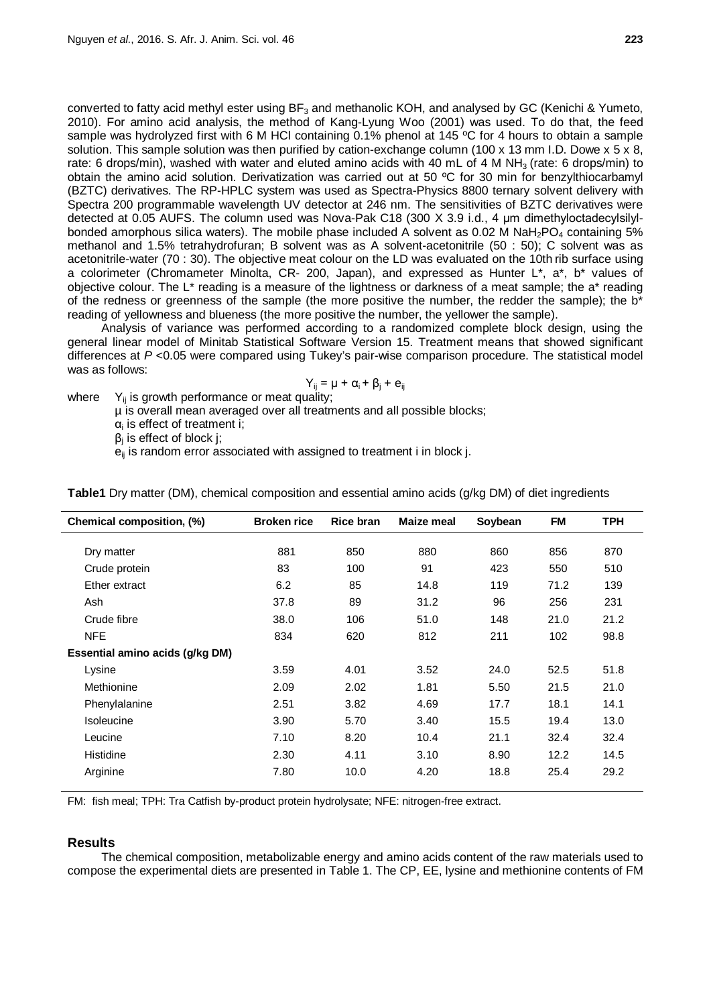converted to fatty acid methyl ester using BF<sub>3</sub> and methanolic KOH, and analysed by GC [\(Kenichi](http://www.ncbi.nlm.nih.gov/pubmed/?term=Ichihara%20K%5Bauth%5D) & Yumeto, 2010). For amino acid analysis, the method of Kang-Lyung Woo (2001) was used. To do that, the feed sample was hydrolyzed first with 6 M HCl containing 0.1% phenol at 145 °C for 4 hours to obtain a sample solution. This sample solution was then purified by cation-exchange column (100 x 13 mm I.D. Dowe x 5 x 8, rate: 6 drops/min), washed with water and eluted amino acids with 40 mL of 4 M NH<sub>3</sub> (rate: 6 drops/min) to obtain the amino acid solution. Derivatization was carried out at 50 ºC for 30 min for benzylthiocarbamyl (BZTC) derivatives. The RP-HPLC system was used as Spectra-Physics 8800 ternary solvent delivery with Spectra 200 programmable wavelength UV detector at 246 nm. The sensitivities of BZTC derivatives were detected at 0.05 AUFS. The column used was Nova-Pak C18 (300 X 3.9 i.d., 4 μm dimethyloctadecylsilylbonded amorphous silica waters). The mobile phase included A solvent as 0.02 M NaH<sub>2</sub>PO<sub>4</sub> containing 5% methanol and 1.5% tetrahydrofuran; B solvent was as A solvent-acetonitrile (50 : 50); C solvent was as acetonitrile-water (70 : 30). The objective meat colour on the LD was evaluated on the 10th rib surface using a colorimeter (Chromameter Minolta, CR- 200, Japan), and expressed as Hunter L\*, a\*, b\* values of objective colour. The L\* reading is a measure of the lightness or darkness of a meat sample; the a\* reading of the redness or greenness of the sample (the more positive the number, the redder the sample); the  $b^*$ reading of yellowness and blueness (the more positive the number, the yellower the sample).

Analysis of variance was performed according to a randomized complete block design, using the general linear model of Minitab Statistical Software Version 15. Treatment means that showed significant differences at *P* <0.05 were compared using Tukey's pair-wise comparison procedure. The statistical model was as follows:

$$
Y_{ij} = \mu + \alpha_i + \beta_j + e_{ij}
$$

where  $Y_{ii}$  is growth performance or meat quality;

µ is overall mean averaged over all treatments and all possible blocks;

 $\alpha_i$  is effect of treatment i;

 $β<sub>i</sub>$  is effect of block j;

 $e_{ii}$  is random error associated with assigned to treatment i in block j.

| Chemical composition, (%)       | <b>Broken rice</b> | <b>Rice bran</b> | Maize meal | Soybean | <b>FM</b> | <b>TPH</b> |
|---------------------------------|--------------------|------------------|------------|---------|-----------|------------|
|                                 |                    |                  |            |         |           |            |
| Dry matter                      | 881                | 850              | 880        | 860     | 856       | 870        |
| Crude protein                   | 83                 | 100              | 91         | 423     | 550       | 510        |
| Ether extract                   | 6.2                | 85               | 14.8       | 119     | 71.2      | 139        |
| Ash                             | 37.8               | 89               | 31.2       | 96      | 256       | 231        |
| Crude fibre                     | 38.0               | 106              | 51.0       | 148     | 21.0      | 21.2       |
| <b>NFE</b>                      | 834                | 620              | 812        | 211     | 102       | 98.8       |
| Essential amino acids (g/kg DM) |                    |                  |            |         |           |            |
| Lysine                          | 3.59               | 4.01             | 3.52       | 24.0    | 52.5      | 51.8       |
| Methionine                      | 2.09               | 2.02             | 1.81       | 5.50    | 21.5      | 21.0       |
| Phenylalanine                   | 2.51               | 3.82             | 4.69       | 17.7    | 18.1      | 14.1       |
| Isoleucine                      | 3.90               | 5.70             | 3.40       | 15.5    | 19.4      | 13.0       |
| Leucine                         | 7.10               | 8.20             | 10.4       | 21.1    | 32.4      | 32.4       |
| Histidine                       | 2.30               | 4.11             | 3.10       | 8.90    | 12.2      | 14.5       |
| Arginine                        | 7.80               | 10.0             | 4.20       | 18.8    | 25.4      | 29.2       |

**Table1** Dry matter (DM), chemical composition and essential amino acids (g/kg DM) of diet ingredients

FM: fish meal; TPH: Tra Catfish by-product protein hydrolysate; NFE: nitrogen-free extract.

# **Results**

The chemical composition, metabolizable energy and amino acids content of the raw materials used to compose the experimental diets are presented in Table 1. The CP, EE, lysine and methionine contents of FM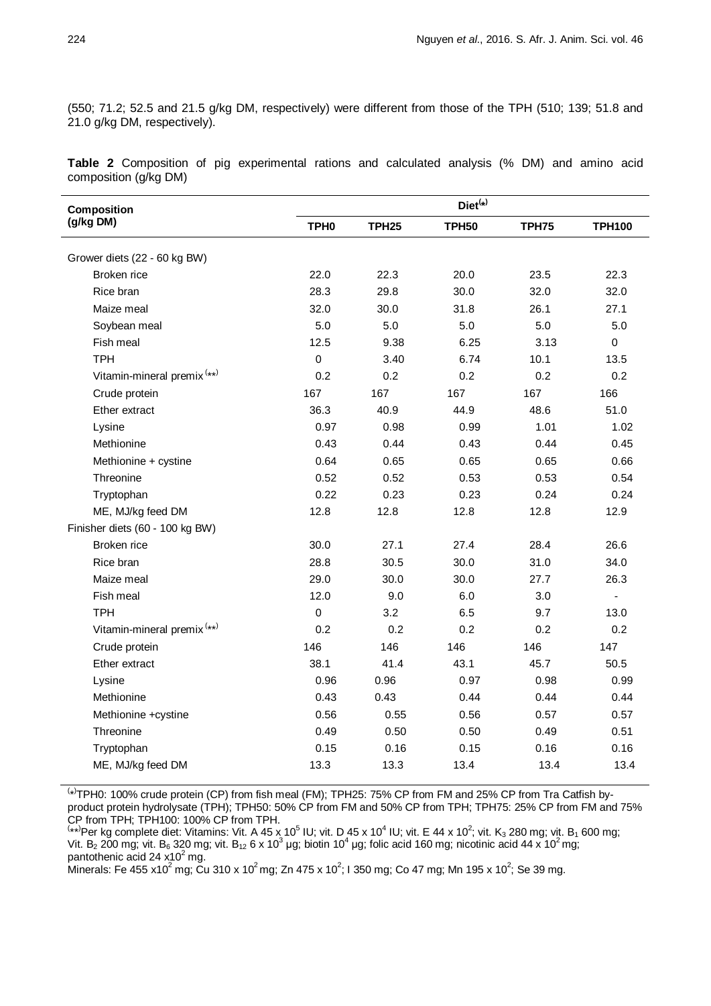(550; 71.2; 52.5 and 21.5 g/kg DM, respectively) were different from those of the TPH (510; 139; 51.8 and 21.0 g/kg DM, respectively).

**Table 2** Composition of pig experimental rations and calculated analysis (% DM) and amino acid composition (g/kg DM)

| Composition                            | $Diet^{(*)}$     |              |              |              |                |  |  |  |
|----------------------------------------|------------------|--------------|--------------|--------------|----------------|--|--|--|
| (g/kg DM)                              | TPH <sub>0</sub> | <b>TPH25</b> | <b>TPH50</b> | <b>TPH75</b> | <b>TPH100</b>  |  |  |  |
| Grower diets (22 - 60 kg BW)           |                  |              |              |              |                |  |  |  |
| Broken rice                            | 22.0             | 22.3         | 20.0         | 23.5         | 22.3           |  |  |  |
| Rice bran                              | 28.3             | 29.8         | 30.0         | 32.0         | 32.0           |  |  |  |
| Maize meal                             | 32.0             | 30.0         | 31.8         | 26.1         | 27.1           |  |  |  |
| Soybean meal                           | 5.0              | 5.0          | 5.0          | 5.0          | 5.0            |  |  |  |
| Fish meal                              | 12.5             | 9.38         | 6.25         | 3.13         | $\mathbf 0$    |  |  |  |
| <b>TPH</b>                             | $\mathbf 0$      | 3.40         | 6.74         | 10.1         | 13.5           |  |  |  |
| Vitamin-mineral premix <sup>(**)</sup> | 0.2              | 0.2          | 0.2          | 0.2          | 0.2            |  |  |  |
| Crude protein                          | 167              | 167          | 167          | 167          | 166            |  |  |  |
| Ether extract                          | 36.3             | 40.9         | 44.9         | 48.6         | 51.0           |  |  |  |
| Lysine                                 | 0.97             | 0.98         | 0.99         | 1.01         | 1.02           |  |  |  |
| Methionine                             | 0.43             | 0.44         | 0.43         | 0.44         | 0.45           |  |  |  |
| Methionine + cystine                   | 0.64             | 0.65         | 0.65         | 0.65         | 0.66           |  |  |  |
| Threonine                              | 0.52             | 0.52         | 0.53         | 0.53         | 0.54           |  |  |  |
| Tryptophan                             | 0.22             | 0.23         | 0.23         | 0.24         | 0.24           |  |  |  |
| ME, MJ/kg feed DM                      | 12.8             | 12.8         | 12.8         | 12.8         | 12.9           |  |  |  |
| Finisher diets (60 - 100 kg BW)        |                  |              |              |              |                |  |  |  |
| Broken rice                            | 30.0             | 27.1         | 27.4         | 28.4         | 26.6           |  |  |  |
| Rice bran                              | 28.8             | 30.5         | 30.0         | 31.0         | 34.0           |  |  |  |
| Maize meal                             | 29.0             | 30.0         | 30.0         | 27.7         | 26.3           |  |  |  |
| Fish meal                              | 12.0             | 9.0          | 6.0          | 3.0          | $\blacksquare$ |  |  |  |
| <b>TPH</b>                             | $\mathbf 0$      | 3.2          | 6.5          | 9.7          | 13.0           |  |  |  |
| Vitamin-mineral premix <sup>(**)</sup> | 0.2              | 0.2          | 0.2          | 0.2          | 0.2            |  |  |  |
| Crude protein                          | 146              | 146          | 146          | 146          | 147            |  |  |  |
| Ether extract                          | 38.1             | 41.4         | 43.1         | 45.7         | 50.5           |  |  |  |
| Lysine                                 | 0.96             | 0.96         | 0.97         | 0.98         | 0.99           |  |  |  |
| Methionine                             | 0.43             | 0.43         | 0.44         | 0.44         | 0.44           |  |  |  |
| Methionine +cystine                    | 0.56             | 0.55         | 0.56         | 0.57         | 0.57           |  |  |  |
| Threonine                              | 0.49             | 0.50         | 0.50         | 0.49         | 0.51           |  |  |  |
| Tryptophan                             | 0.15             | 0.16         | 0.15         | 0.16         | 0.16           |  |  |  |
| ME, MJ/kg feed DM                      | 13.3             | 13.3         | 13.4         | 13.4         | 13.4           |  |  |  |

( \* ) TPH0: 100% crude protein (CP) from fish meal (FM); TPH25: 75% CP from FM and 25% CP from Tra Catfish byproduct protein hydrolysate (TPH); TPH50: 50% CP from FM and 50% CP from TPH; TPH75: 25% CP from FM and 75% CP from TPH; TPH100: 100% CP from TPH.<br><sup>(</sup>\*\*<sup>)</sup>Per kg complete diet: Vitamins: Vit. A 45 x 10<sup>5</sup> IU; vit. D 45 x 10<sup>4</sup> IU; vit. E 44 x 10<sup>2</sup>; vit. K<sub>3</sub> 280 mg; vit. B<sub>1</sub> 600 mg;

Vit. B<sub>2</sub> 200 mg; vit. B<sub>6</sub> 320 mg; vit. B<sub>12</sub> 6 x 10<sup>3</sup> µg; biotin 10<sup>4</sup> µg; folic acid 160 mg; nicotinic acid 44 x 10<sup>2</sup> mg; pantothenic acid 24  $x10^2$  mg.

Minerals: Fe 455 x10 $^2$  mg; Cu 310 x 10 $^2$  mg; Zn 475 x 10 $^2$ ; I 350 mg; Co 47 mg; Mn 195 x 10 $^2$ ; Se 39 mg.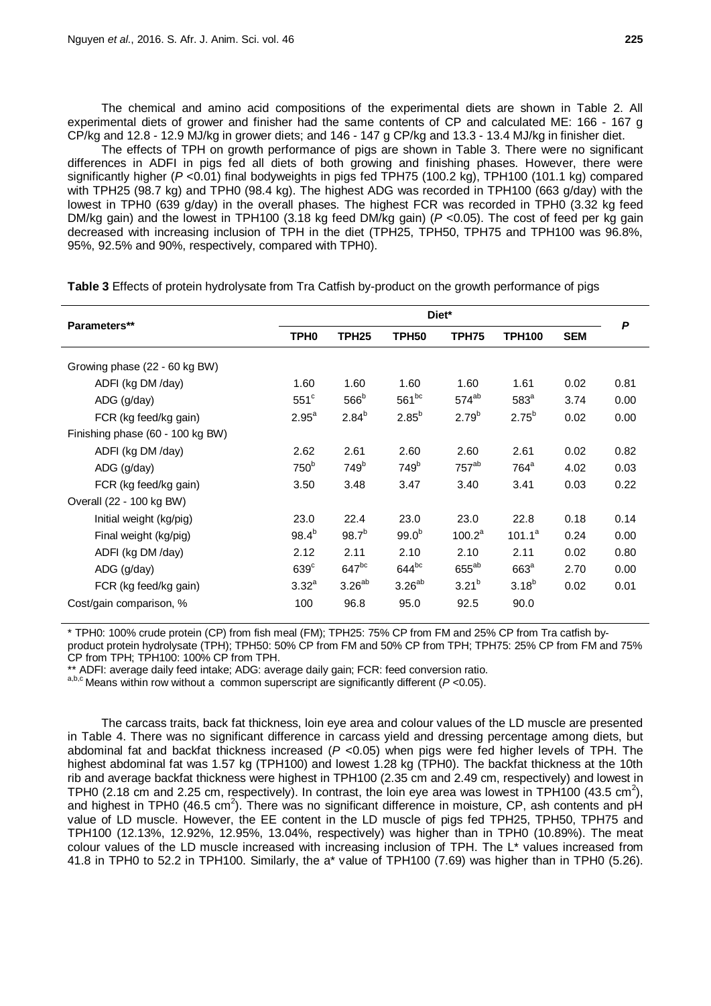The chemical and amino acid compositions of the experimental diets are shown in Table 2. All experimental diets of grower and finisher had the same contents of CP and calculated ME: 166 - 167 g CP/kg and 12.8 - 12.9 MJ/kg in grower diets; and 146 - 147 g CP/kg and 13.3 - 13.4 MJ/kg in finisher diet.

The effects of TPH on growth performance of pigs are shown in Table 3. There were no significant differences in ADFI in pigs fed all diets of both growing and finishing phases. However, there were significantly higher (*P* <0.01) final bodyweights in pigs fed TPH75 (100.2 kg), TPH100 (101.1 kg) compared with TPH25 (98.7 kg) and TPH0 (98.4 kg). The highest ADG was recorded in TPH100 (663 g/day) with the lowest in TPH0 (639 g/day) in the overall phases. The highest FCR was recorded in TPH0 (3.32 kg feed DM/kg gain) and the lowest in TPH100 (3.18 kg feed DM/kg gain) (*P* <0.05). The cost of feed per kg gain decreased with increasing inclusion of TPH in the diet (TPH25, TPH50, TPH75 and TPH100 was 96.8%, 95%, 92.5% and 90%, respectively, compared with TPH0).

|                                  | Diet*             |                   |                   |            |                  |            | P    |
|----------------------------------|-------------------|-------------------|-------------------|------------|------------------|------------|------|
| Parameters**                     | TPH <sub>0</sub>  | TPH <sub>25</sub> | TPH <sub>50</sub> | TPH75      | <b>TPH100</b>    | <b>SEM</b> |      |
| Growing phase (22 - 60 kg BW)    |                   |                   |                   |            |                  |            |      |
| ADFI (kg DM /day)                | 1.60              | 1.60              | 1.60              | 1.60       | 1.61             | 0.02       | 0.81 |
| ADG (g/day)                      | $551^{\circ}$     | 566 <sup>b</sup>  | $561^{bc}$        | $574^{ab}$ | 583 <sup>a</sup> | 3.74       | 0.00 |
| FCR (kg feed/kg gain)            | $2.95^a$          | $2.84^{b}$        | $2.85^{b}$        | $2.79^{b}$ | $2.75^{b}$       | 0.02       | 0.00 |
| Finishing phase (60 - 100 kg BW) |                   |                   |                   |            |                  |            |      |
| ADFI (kg DM /day)                | 2.62              | 2.61              | 2.60              | 2.60       | 2.61             | 0.02       | 0.82 |
| ADG (g/day)                      | 750 <sup>b</sup>  | 749 <sup>b</sup>  | 749 <sup>b</sup>  | $757^{ab}$ | $764^a$          | 4.02       | 0.03 |
| FCR (kg feed/kg gain)            | 3.50              | 3.48              | 3.47              | 3.40       | 3.41             | 0.03       | 0.22 |
| Overall (22 - 100 kg BW)         |                   |                   |                   |            |                  |            |      |
| Initial weight (kg/pig)          | 23.0              | 22.4              | 23.0              | 23.0       | 22.8             | 0.18       | 0.14 |
| Final weight (kg/pig)            | $98.4^{b}$        | $98.7^{b}$        | $99.0^{b}$        | $100.2^a$  | $101.1^a$        | 0.24       | 0.00 |
| ADFI (kg DM /day)                | 2.12              | 2.11              | 2.10              | 2.10       | 2.11             | 0.02       | 0.80 |
| ADG (g/day)                      | $639^\circ$       | $647^{bc}$        | $644^{bc}$        | $655^{ab}$ | 663 <sup>a</sup> | 2.70       | 0.00 |
| FCR (kg feed/kg gain)            | 3.32 <sup>a</sup> | $3.26^{ab}$       | $3.26^{ab}$       | $3.21^{b}$ | $3.18^{b}$       | 0.02       | 0.01 |
| Cost/gain comparison, %          | 100               | 96.8              | 95.0              | 92.5       | 90.0             |            |      |

**Table 3** Effects of protein hydrolysate from Tra Catfish by-product on the growth performance of pigs

\* TPH0: 100% crude protein (CP) from fish meal (FM); TPH25: 75% CP from FM and 25% CP from Tra catfish byproduct protein hydrolysate (TPH); TPH50: 50% CP from FM and 50% CP from TPH; TPH75: 25% CP from FM and 75% CP from TPH; TPH100: 100% CP from TPH.<br>\*\* ADFI: average daily feed intake; ADG: average daily gain; FCR: feed conversion ratio.

<sup>a,b,c</sup> Means within row without a common superscript are significantly different (*P* <0.05).

The carcass traits, back fat thickness, loin eye area and colour values of the LD muscle are presented in Table 4. There was no significant difference in carcass yield and dressing percentage among diets, but abdominal fat and backfat thickness increased (*P* <0.05) when pigs were fed higher levels of TPH. The highest abdominal fat was 1.57 kg (TPH100) and lowest 1.28 kg (TPH0). The backfat thickness at the 10th rib and average backfat thickness were highest in TPH100 (2.35 cm and 2.49 cm, respectively) and lowest in TPH0 (2.18 cm and 2.25 cm, respectively). In contrast, the loin eye area was lowest in TPH100 (43.5 cm<sup>2</sup>), and highest in TPH0 (46.5 cm<sup>2</sup>). There was no significant difference in moisture, CP, ash contents and pH value of LD muscle. However, the EE content in the LD muscle of pigs fed TPH25, TPH50, TPH75 and TPH100 (12.13%, 12.92%, 12.95%, 13.04%, respectively) was higher than in TPH0 (10.89%). The meat colour values of the LD muscle increased with increasing inclusion of TPH. The L\* values increased from 41.8 in TPH0 to 52.2 in TPH100. Similarly, the a\* value of TPH100 (7.69) was higher than in TPH0 (5.26).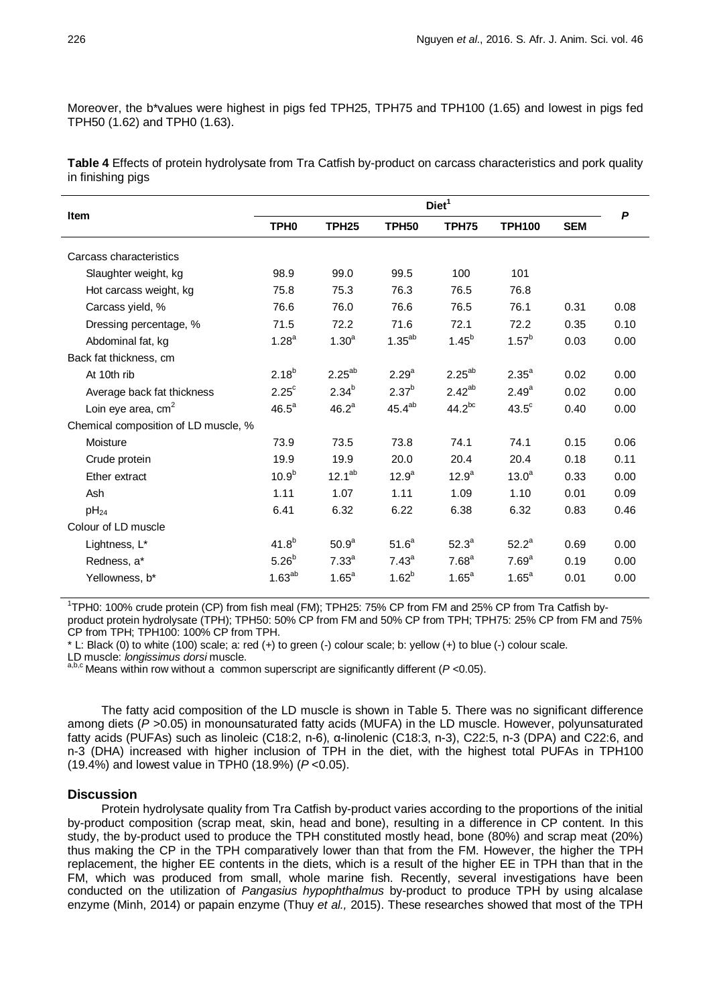Moreover, the b\*values were highest in pigs fed TPH25, TPH75 and TPH100 (1.65) and lowest in pigs fed TPH50 (1.62) and TPH0 (1.63).

**Table 4** Effects of protein hydrolysate from Tra Catfish by-product on carcass characteristics and pork quality in finishing pigs

|                                      | Diet <sup>1</sup> |                   |                   |                   |                   |            |      |
|--------------------------------------|-------------------|-------------------|-------------------|-------------------|-------------------|------------|------|
| <b>Item</b>                          | TPH <sub>0</sub>  | TPH <sub>25</sub> | TPH50             | TPH75             | <b>TPH100</b>     | <b>SEM</b> | P    |
| Carcass characteristics              |                   |                   |                   |                   |                   |            |      |
| Slaughter weight, kg                 | 98.9              | 99.0              | 99.5              | 100               | 101               |            |      |
| Hot carcass weight, kg               | 75.8              | 75.3              | 76.3              | 76.5              | 76.8              |            |      |
| Carcass yield, %                     | 76.6              | 76.0              | 76.6              | 76.5              | 76.1              | 0.31       | 0.08 |
| Dressing percentage, %               | 71.5              | 72.2              | 71.6              | 72.1              | 72.2              | 0.35       | 0.10 |
| Abdominal fat, kg                    | $1.28^{a}$        | 1.30 <sup>a</sup> | $1.35^{ab}$       | $1.45^{b}$        | $1.57^{b}$        | 0.03       | 0.00 |
| Back fat thickness, cm               |                   |                   |                   |                   |                   |            |      |
| At 10th rib                          | $2.18^{b}$        | $2.25^{ab}$       | $2.29^{a}$        | $2.25^{ab}$       | $2.35^{a}$        | 0.02       | 0.00 |
| Average back fat thickness           | $2.25^{\circ}$    | $2.34^{b}$        | 2.37 <sup>b</sup> | $2.42^{ab}$       | $2.49^{a}$        | 0.02       | 0.00 |
| Loin eye area, $cm2$                 | $46.5^a$          | $46.2^a$          | $45.4^{ab}$       | $44.2^{bc}$       | $43.5^\circ$      | 0.40       | 0.00 |
| Chemical composition of LD muscle, % |                   |                   |                   |                   |                   |            |      |
| Moisture                             | 73.9              | 73.5              | 73.8              | 74.1              | 74.1              | 0.15       | 0.06 |
| Crude protein                        | 19.9              | 19.9              | 20.0              | 20.4              | 20.4              | 0.18       | 0.11 |
| Ether extract                        | $10.9^{b}$        | $12.1^{ab}$       | $12.9^{a}$        | $12.9^a$          | 13.0 <sup>a</sup> | 0.33       | 0.00 |
| Ash                                  | 1.11              | 1.07              | 1.11              | 1.09              | 1.10              | 0.01       | 0.09 |
| $pH_{24}$                            | 6.41              | 6.32              | 6.22              | 6.38              | 6.32              | 0.83       | 0.46 |
| Colour of LD muscle                  |                   |                   |                   |                   |                   |            |      |
| Lightness, L*                        | $41.8^{b}$        | 50.9 <sup>a</sup> | 51.6 <sup>a</sup> | 52.3 <sup>a</sup> | $52.2^a$          | 0.69       | 0.00 |
| Redness, a*                          | $5.26^{b}$        | 7.33 <sup>a</sup> | 7.43 <sup>a</sup> | 7.68 <sup>a</sup> | 7.69 <sup>a</sup> | 0.19       | 0.00 |
| Yellowness, b*                       | $1.63^{ab}$       | $1.65^a$          | $1.62^{b}$        | $1.65^a$          | $1.65^a$          | 0.01       | 0.00 |

<sup>1</sup>TPH0: 100% crude protein (CP) from fish meal (FM); TPH25: 75% CP from FM and 25% CP from Tra Catfish byproduct protein hydrolysate (TPH); TPH50: 50% CP from FM and 50% CP from TPH; TPH75: 25% CP from FM and 75% CP from TPH; TPH100: 100% CP from TPH.

\* L: Black (0) to white (100) scale; a: red (+) to green (-) colour scale; b: yellow (+) to blue (-) colour scale.

a,b,c Means within row without a common superscript are significantly different (*P* <0.05).

The fatty acid composition of the LD muscle is shown in Table 5. There was no significant difference among diets ( $P > 0.05$ ) in monounsaturated fatty acids (MUFA) in the LD muscle. However, polyunsaturated fatty acids (PUFAs) such as linoleic (C18:2, n-6), α-linolenic (C18:3, n-3), C22:5, n-3 (DPA) and C22:6, and n-3 (DHA) increased with higher inclusion of TPH in the diet, with the highest total PUFAs in TPH100 (19.4%) and lowest value in TPH0 (18.9%) (*P* <0.05).

### **Discussion**

Protein hydrolysate quality from Tra Catfish by-product varies according to the proportions of the initial by-product composition (scrap meat, skin, head and bone), resulting in a difference in CP content. In this study, the by-product used to produce the TPH constituted mostly head, bone (80%) and scrap meat (20%) thus making the CP in the TPH comparatively lower than that from the FM. However, the higher the TPH replacement, the higher EE contents in the diets, which is a result of the higher EE in TPH than that in the FM, which was produced from small, whole marine fish. Recently, several investigations have been conducted on the utilization of *Pangasius hypophthalmus* by-product to produce TPH by using alcalase enzyme (Minh, 2014) or papain enzyme (Thuy *et al.,* 2015). These researches showed that most of the TPH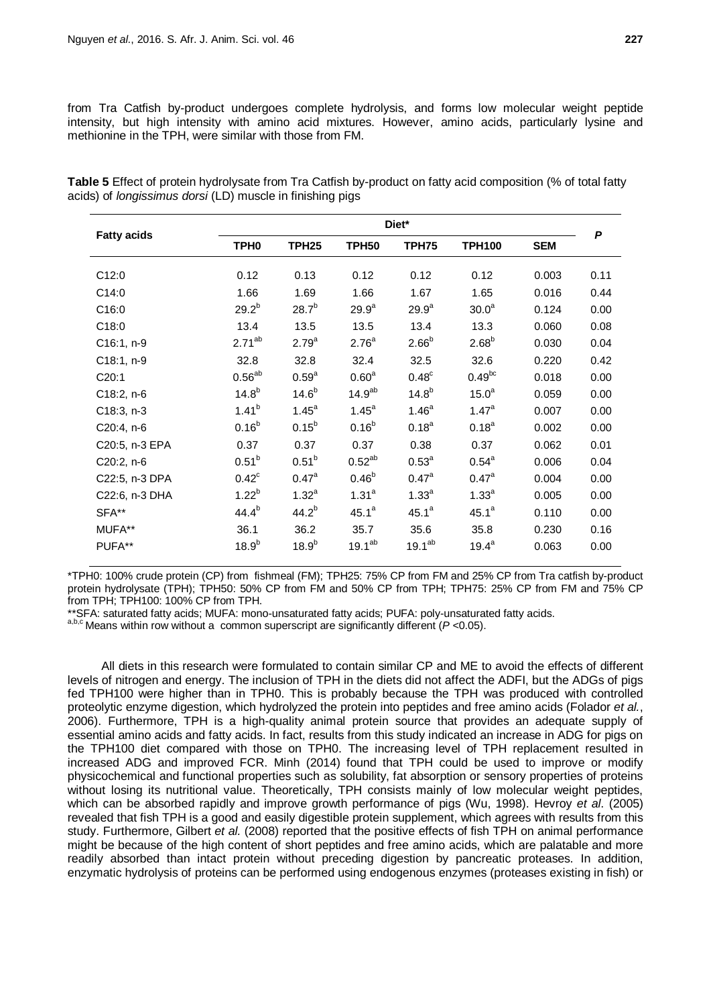from Tra Catfish by-product undergoes complete hydrolysis, and forms low molecular weight peptide intensity, but high intensity with amino acid mixtures. However, amino acids, particularly lysine and methionine in the TPH, were similar with those from FM.

| <b>Fatty acids</b> |                   | Diet*             |                    |                    |                   |            |      |  |  |  |
|--------------------|-------------------|-------------------|--------------------|--------------------|-------------------|------------|------|--|--|--|
|                    | TPH <sub>0</sub>  | <b>TPH25</b>      | <b>TPH50</b>       | <b>TPH75</b>       | <b>TPH100</b>     | <b>SEM</b> | P    |  |  |  |
| C12:0              | 0.12              | 0.13              | 0.12               | 0.12               | 0.12              | 0.003      | 0.11 |  |  |  |
| C14:0              | 1.66              | 1.69              | 1.66               | 1.67               | 1.65              | 0.016      | 0.44 |  |  |  |
| C16:0              | $29.2^{b}$        | $28.7^{b}$        | 29.9 <sup>a</sup>  | $29.9^{a}$         | 30.0 <sup>a</sup> | 0.124      | 0.00 |  |  |  |
| C18:0              | 13.4              | 13.5              | 13.5               | 13.4               | 13.3              | 0.060      | 0.08 |  |  |  |
| C16:1, n-9         | $2.71^{ab}$       | $2.79^{a}$        | 2.76 <sup>a</sup>  | $2.66^{b}$         | $2.68^{b}$        | 0.030      | 0.04 |  |  |  |
| C18:1, n-9         | 32.8              | 32.8              | 32.4               | 32.5               | 32.6              | 0.220      | 0.42 |  |  |  |
| C20:1              | $0.56^{ab}$       | 0.59 <sup>a</sup> | 0.60 <sup>a</sup>  | 0.48 <sup>c</sup>  | $0.49^{bc}$       | 0.018      | 0.00 |  |  |  |
| C18:2, n-6         | $14.8^{b}$        | $14.6^{b}$        | 14.9 <sup>ab</sup> | $14.8^{b}$         | 15.0 <sup>a</sup> | 0.059      | 0.00 |  |  |  |
| C18:3, n-3         | $1.41^{b}$        | $1.45^a$          | $1.45^a$           | 1.46 <sup>a</sup>  | $1.47^a$          | 0.007      | 0.00 |  |  |  |
| C20:4, n-6         | $0.16^{b}$        | $0.15^{b}$        | $0.16^{b}$         | $0.18^{a}$         | $0.18^{a}$        | 0.002      | 0.00 |  |  |  |
| C20:5, n-3 EPA     | 0.37              | 0.37              | 0.37               | 0.38               | 0.37              | 0.062      | 0.01 |  |  |  |
| C20:2, n-6         | $0.51^{b}$        | $0.51^{b}$        | $0.52^{ab}$        | $0.53^{a}$         | $0.54^{a}$        | 0.006      | 0.04 |  |  |  |
| C22:5, n-3 DPA     | $0.42^c$          | $0.47^{\circ}$    | $0.46^{b}$         | $0.47^{\text{a}}$  | $0.47^{\circ}$    | 0.004      | 0.00 |  |  |  |
| C22:6, n-3 DHA     | $1.22^{b}$        | $1.32^{a}$        | 1.31 <sup>a</sup>  | 1.33 <sup>a</sup>  | 1.33 <sup>a</sup> | 0.005      | 0.00 |  |  |  |
| SFA**              | $44.4^{b}$        | $44.2^{b}$        | $45.1^a$           | $45.1^a$           | $45.1^a$          | 0.110      | 0.00 |  |  |  |
| MUFA**             | 36.1              | 36.2              | 35.7               | 35.6               | 35.8              | 0.230      | 0.16 |  |  |  |
| PUFA**             | 18.9 <sup>b</sup> | 18.9 <sup>b</sup> | $19.1^{ab}$        | 19.1 <sup>ab</sup> | $19.4^a$          | 0.063      | 0.00 |  |  |  |

**Table 5** Effect of protein hydrolysate from Tra Catfish by-product on fatty acid composition (% of total fatty acids) of *longissimus dorsi* (LD) muscle in finishing pigs

\*TPH0: 100% crude protein (CP) from fishmeal (FM); TPH25: 75% CP from FM and 25% CP from Tra catfish by-product protein hydrolysate (TPH); TPH50: 50% CP from FM and 50% CP from TPH; TPH75: 25% CP from FM and 75% CP

from TPH; TPH100: 100% CP from TPH.<br>\*\*SFA: saturated fatty acids: MUFA: mono-unsaturated fatty acids: PUFA: poly-unsaturated fatty acids.

 $^{a,b,c}$  Means within row without a common superscript are significantly different ( $P$  <0.05).

All diets in this research were formulated to contain similar CP and ME to avoid the effects of different levels of nitrogen and energy. The inclusion of TPH in the diets did not affect the ADFI, but the ADGs of pigs fed TPH100 were higher than in TPH0. This is probably because the TPH was produced with controlled proteolytic enzyme digestion, which hydrolyzed the protein into peptides and free amino acids (Folador *et al.*, 2006). Furthermore, TPH is a high-quality animal protein source that provides an adequate supply of essential amino acids and fatty acids. In fact, results from this study indicated an increase in ADG for pigs on the TPH100 diet compared with those on TPH0. The increasing level of TPH replacement resulted in increased ADG and improved FCR. Minh (2014) found that TPH could be used to improve or modify physicochemical and functional properties such as solubility, fat absorption or sensory properties of proteins without losing its nutritional value. Theoretically, TPH consists mainly of low molecular weight peptides, which can be absorbed rapidly and improve growth performance of pigs (Wu, 1998). Hevroy *et al*. (2005) revealed that fish TPH is a good and easily digestible protein supplement, which agrees with results from this study. Furthermore, Gilbert *et al.* (2008) reported that the positive effects of fish TPH on animal performance might be because of the high content of short peptides and free amino acids, which are palatable and more readily absorbed than intact protein without preceding digestion by pancreatic proteases. In addition, enzymatic hydrolysis of proteins can be performed using endogenous enzymes (proteases existing in fish) or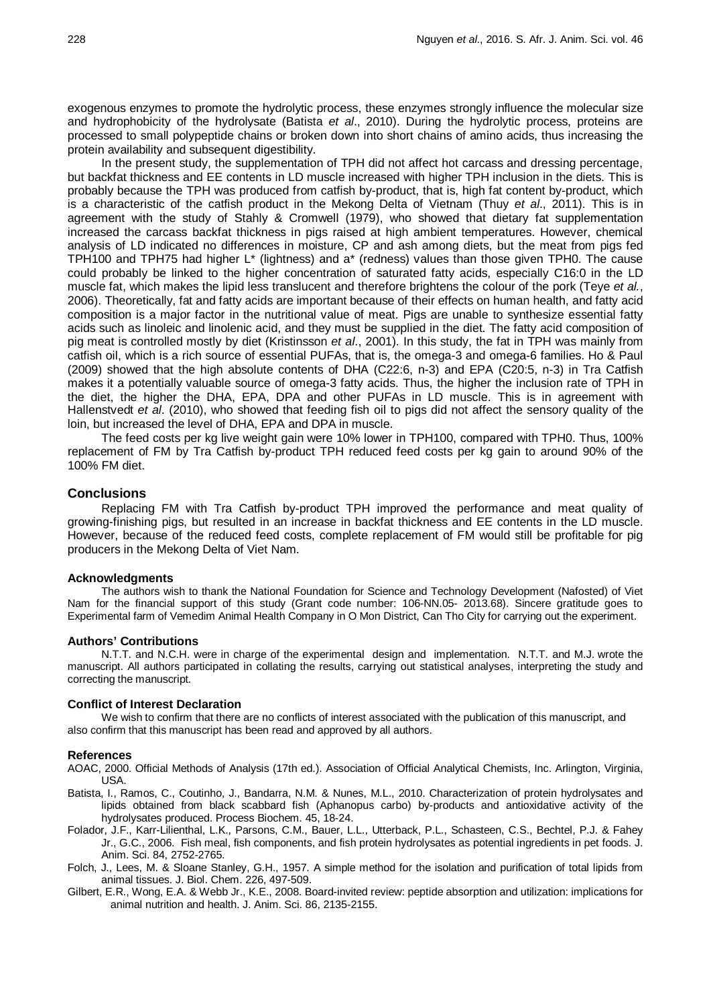exogenous enzymes to promote the hydrolytic process, these enzymes strongly influence the molecular size and hydrophobicity of the hydrolysate (Batista *et al*., 2010). During the hydrolytic process, proteins are processed to small polypeptide chains or broken down into short chains of amino acids, thus increasing the protein availability and subsequent digestibility.

In the present study, the supplementation of TPH did not affect hot carcass and dressing percentage, but backfat thickness and EE contents in LD muscle increased with higher TPH inclusion in the diets. This is probably because the TPH was produced from catfish by-product, that is, high fat content by-product, which is a characteristic of the catfish product in the Mekong Delta of Vietnam (Thuy *et al*., 2011). This is in agreement with the study of Stahly & Cromwell (1979), who showed that dietary fat supplementation increased the carcass backfat thickness in pigs raised at high ambient temperatures. However, chemical analysis of LD indicated no differences in moisture, CP and ash among diets, but the meat from pigs fed TPH100 and TPH75 had higher L\* (lightness) and a\* (redness) values than those given TPH0. The cause could probably be linked to the higher concentration of saturated fatty acids, especially C16:0 in the LD muscle fat, which makes the lipid less translucent and therefore brightens the colour of the pork (Teye *et al.*, 2006). Theoretically, fat and fatty acids are important because of their effects on human health, and fatty acid composition is a major factor in the nutritional value of meat. Pigs are unable to synthesize essential fatty acids such as linoleic and linolenic acid, and they must be supplied in the diet. The fatty acid composition of pig meat is controlled mostly by diet (Kristinsson *et al*., 2001). In this study, the fat in TPH was mainly from catfish oil, which is a rich source of essential PUFAs, that is, the omega-3 and omega-6 families. Ho & Paul (2009) showed that the high absolute contents of DHA (C22:6, n-3) and EPA (C20:5, n-3) in Tra Catfish makes it a potentially valuable source of omega-3 fatty acids. Thus, the higher the inclusion rate of TPH in the diet, the higher the DHA, EPA, DPA and other PUFAs in LD muscle. This is in agreement with Hallenstvedt *et al*. (2010), who showed that feeding fish oil to pigs did not affect the sensory quality of the loin, but increased the level of DHA, EPA and DPA in muscle.

The feed costs per kg live weight gain were 10% lower in TPH100, compared with TPH0. Thus, 100% replacement of FM by Tra Catfish by-product TPH reduced feed costs per kg gain to around 90% of the 100% FM diet.

# **Conclusions**

Replacing FM with Tra Catfish by-product TPH improved the performance and meat quality of growing-finishing pigs, but resulted in an increase in backfat thickness and EE contents in the LD muscle. However, because of the reduced feed costs, complete replacement of FM would still be profitable for pig producers in the Mekong Delta of Viet Nam.

#### **Acknowledgments**

The authors wish to thank the National Foundation for Science and Technology Development (Nafosted) of Viet Nam for the financial support of this study (Grant code number: 106-NN.05- 2013.68). Sincere gratitude goes to Experimental farm of Vemedim Animal Health Company in O Mon District, Can Tho City for carrying out the experiment.

#### **Authors' Contributions**

N.T.T. and N.C.H. were in charge of the experimental design and implementation. N.T.T. and M.J. wrote the manuscript. All authors participated in collating the results, carrying out statistical analyses, interpreting the study and correcting the manuscript.

### **Conflict of Interest Declaration**

We wish to confirm that there are no conflicts of interest associated with the publication of this manuscript, and also confirm that this manuscript has been read and approved by all authors.

#### **References**

- AOAC, 2000. Official Methods of Analysis (17th ed.). Association of Official Analytical Chemists, Inc. Arlington, Virginia, USA.
- Batista, I., Ramos, C., Coutinho, J., Bandarra, N.M. & Nunes, M.L., 2010. Characterization of protein hydrolysates and lipids obtained from black scabbard fish (Aphanopus carbo) by-products and antioxidative activity of the hydrolysates produced. Process Biochem. 45, 18-24.
- Folador, J.F., Karr-Lilienthal, L.K., Parsons, C.M., Bauer, L.L., Utterback, P.L., Schasteen, C.S., Bechtel, P.J. & Fahey Jr., G.C., 2006. Fish meal, fish components, and fish protein hydrolysates as potential ingredients in pet foods. J. Anim. Sci. 84, 2752-2765.
- Folch, J., Lees, M. & Sloane Stanley, G.H., 1957. A simple method for the isolation and purification of total lipids from animal tissues. J. Biol. Chem. 226, 497-509.
- Gilbert, E.R., Wong, E.A. & Webb Jr., K.E., 2008. Board-invited review: peptide absorption and utilization: implications for animal nutrition and health. J. Anim. Sci. 86, 2135-2155.